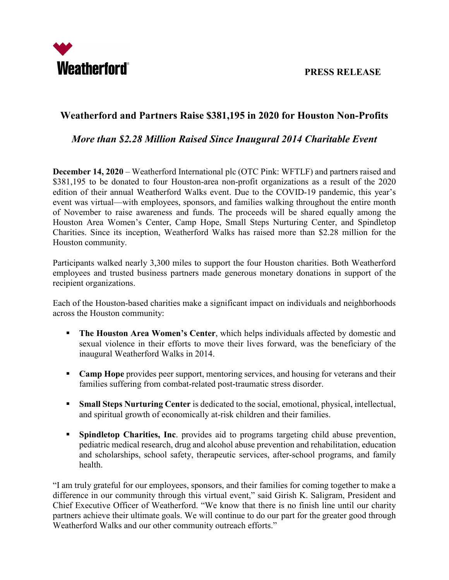

## **Weatherford and Partners Raise \$381,195 in 2020 for Houston Non-Profits**

## *More than \$2.28 Million Raised Since Inaugural 2014 Charitable Event*

**December 14, 2020** – Weatherford International plc (OTC Pink: WFTLF) and partners raised and \$381,195 to be donated to four Houston-area non-profit organizations as a result of the 2020 edition of their annual Weatherford Walks event. Due to the COVID-19 pandemic, this year's event was virtual—with employees, sponsors, and families walking throughout the entire month of November to raise awareness and funds. The proceeds will be shared equally among the Houston Area Women's Center, Camp Hope, Small Steps Nurturing Center, and Spindletop Charities. Since its inception, Weatherford Walks has raised more than \$2.28 million for the Houston community.

Participants walked nearly 3,300 miles to support the four Houston charities. Both Weatherford employees and trusted business partners made generous monetary donations in support of the recipient organizations.

Each of the Houston-based charities make a significant impact on individuals and neighborhoods across the Houston community:

- **The Houston Area Women's Center**, which helps individuals affected by domestic and sexual violence in their efforts to move their lives forward, was the beneficiary of the inaugural Weatherford Walks in 2014.
- **Camp Hope** provides peer support, mentoring services, and housing for veterans and their families suffering from combat-related post-traumatic stress disorder.
- **Small Steps Nurturing Center** is dedicated to the social, emotional, physical, intellectual, and spiritual growth of economically at-risk children and their families.
- **Spindletop Charities, Inc.** provides aid to programs targeting child abuse prevention, pediatric medical research, drug and alcohol abuse prevention and rehabilitation, education and scholarships, school safety, therapeutic services, after-school programs, and family health.

"I am truly grateful for our employees, sponsors, and their families for coming together to make a difference in our community through this virtual event," said Girish K. Saligram, President and Chief Executive Officer of Weatherford. "We know that there is no finish line until our charity partners achieve their ultimate goals. We will continue to do our part for the greater good through Weatherford Walks and our other community outreach efforts."